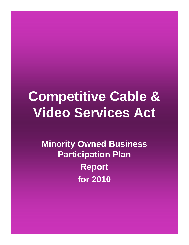# **Competitive Cable & Video Services Act**

**Minority Owned Business Participation Plan Report for 2010**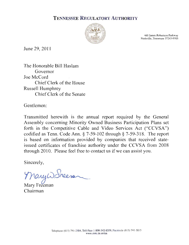## **TENNESSEE REGULATORY AUTHORITY**



460 James Robertson Parkway Nashville, Tennessee 37243-0505

June 29, 2011

The Honorable Bill Haslam Governor Joe McCord Chief Clerk of the House **Russell Humphrey** Chief Clerk of the Senate

Gentlemen:

Transmitted herewith is the annual report required by the General Assembly concerning Minority Owned Business Participation Plans set forth in the Competitive Cable and Video Services Act ("CCVSA") codified as Tenn. Code Ann.  $\S$  7-59-102 through  $\S$  7-59-318. The report is based on information provided by companies that received stateissued certificates of franchise authority under the CCVSA from 2008 through 2010. Please feel free to contact us if we can assist you.

Sincerely,

Mary W. Freera

Mary Freeman Chairman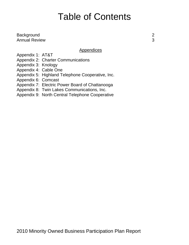## Table of Contents

Background 2 Annual Review 3

## Appendices

Appendix 1: AT&T

Appendix 2: Charter Communications

Appendix 3: Knology

Appendix 4: Cable One

Appendix 5: Highland Telephone Cooperative, Inc.

Appendix 6: Comcast

Appendix 7: Electric Power Board of Chattanooga

Appendix 8: Twin Lakes Communications, Inc.

Appendix 9: North Central Telephone Cooperative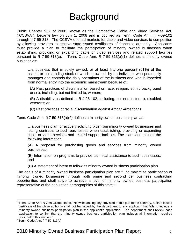## **Background**

Public Chapter 932 of 2008, known as the Competitive Cable and Video Services Act, ("CCSVA"), became law on July 1, 2008 and is codified as Tenn. Code Ann. § 7-59-102 through § 7-59-318. The CCSVA opened markets for cable and video services to competition by allowing providers to receive state-issued certificates of franchise authority. Applicants must provide a plan to facilitate the participation of minority owned businesses when establishing, providing or expanding cable or video services and related support facilities pursuant to § 7-59-3[1](#page-3-0)3(c).<sup>1</sup> Tenn. Code Ann. § 7-59-313(a)(1) defines a minority owned business as:

…a business that is solely owned, or at least fifty-one percent (51%) of the assets or outstanding stock of which is owned, by an individual who personally manages and controls the daily operations of the business and who is impeded from normal entry into the economic mainstream because of:

(A) Past practices of discrimination based on race, religion, ethnic background or sex, including, but not limited to, women;

(B) A disability as defined in § 4-26-102, including, but not limited to, disabled veterans; or

(C) Past practices of racial discrimination against African-Americans.

Tenn. Code Ann. § 7-59-313(a)(2) defines a minority owned business plan as:

…a business plan for actively soliciting bids from minority owned businesses and letting contracts to such businesses when establishing, providing or expanding cable or video services and related support facilities. The plan shall include the following information:

(A) A proposal for purchasing goods and services from minority owned businesses;

(B) Information on programs to provide technical assistance to such businesses; and

(C) A statement of intent to follow its minority owned business participation plan.

The goals of a minority owned business participation plan are "…to maximize participation of minority owned businesses through both prime and second tier business contracting opportunities and shall strive to achieve a level of minority owned business participation representative of the population demographics of this state. $^{2}$  $^{2}$  $^{2}$ 

 $\overline{a}$ 

<span id="page-3-0"></span><sup>&</sup>lt;sup>1</sup> Tenn. Code Ann. § 7-59-313(c) states, "Notwithstanding any provision of this part to the contrary, a state-issued certificate of franchise authority shall not be issued by the department to any applicant that fails to include a minority owned business participation plan in the applicant's application. The department shall review each application to confirm that the minority owned business participation plan includes all information required pursuant to this section."

<span id="page-3-1"></span>pursuant to this section."<br><sup>2</sup> Tenn. Code Ann. § 7-59-313(b).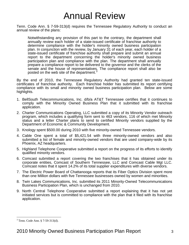## Annual Review

Tenn. Code Ann. § 7-59-313(d) requires the Tennessee Regulatory Authority to conduct an annual review of the plans:

Notwithstanding any provision of this part to the contrary, the department shall annually review each holder of a state-issued certificate of franchise authority to determine compliance with the holder's minority owned business participation plan. In conjunction with the review, by January 31 of each year, each holder of a state-issued certificate of franchise authority shall prepare and submit an annual report to the department concerning the holder's minority owned business participation plan and compliance with the plan. The department shall annually prepare a compliance report to be delivered to the governor and the clerks of the senate and the house of representatives. The compliance report shall also be posted on the web site of the department.<sup>[3](#page-4-0)</sup>

By the end of 2010, the Tennessee Regulatory Authority had granted ten state-issued certificates of franchise authority. Each franchise holder has submitted its report certifying compliance with its small and minority owned business participation plan. Below are some highlights.

- 1. BellSouth Telecommunications, Inc. d/b/a AT&T Tennessee certifies that it continues to comply with the Minority Owned Business Plan that it submitted with its franchise application.
- 2. Charter Communications Operating, LLC submitted a copy of its Minority Vendor outreach program, which includes a qualifying form sent to 463 vendors, 116 of which met Minority status and a letter Charter plans to send to certified Minority vendors supplied by the Department of Economic & Community Development.
- 3. Knology spent \$500.00 during 2010 with five minority-owned Tennessee vendors.
- 4. Cable One spent a total of \$5,421.54 with three minority-owned vendors and also submitted a list of female and minority-owned vendors that are used company-wide by its Phoenix, AZ headquarters.
- 5. Highland Telephone Cooperative submitted a report on the progress of its efforts to identify qualified minority vendors.
- 6. Comcast submitted a report covering the two franchises that it has obtained under its corporate entities, Comcast of Southern Tennessee, LLC and Comcast Cable Mgt LLC. Comcast notes that it spent 14.2% of its total supplier expenditures with diverse vendors.
- 7. The Electric Power Board of Chattanooga reports that its Fiber Optics Division spent more than one Million dollars with five Tennessee businesses owned by women and minorities.
- 8. Twin Lakes Communications, Inc. submitted its 2011 Minority-Owned Telecommunications Business Participation Plan, which is unchanged from 2010.
- 9. North Central Telephone Cooperative submitted a report explaining that it has not yet initiated services but is committed to compliance with the plan that it filed with its franchise application.

 $\overline{a}$ 

<span id="page-4-0"></span><sup>3</sup> Tenn. Code Ann. § 7-59-313(d).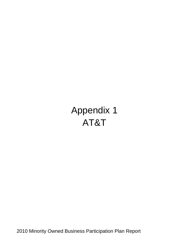# Appendix 1 AT&T

2010 Minority Owned Business Participation Plan Report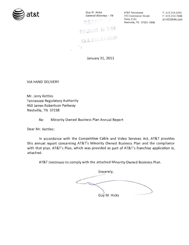

Guy M. Hicks General Attorney - TN  $7.3 - 1$ 2011 JAN 31 PN 3:58 T.R.A. DOCKET ROOM  $\mathcal{L}_{\mathcal{A}}$ 

AT&T Tennessee 333 Commerce Street Suite 2101 Nashville, TN 37201-1800

T: 615.214.6301 F: 615-214-7406 gh1402@att.com

January 31, 2011

**VIA HAND DELIVERY** 

Mr. Jerry Kettles Tennessee Regulatory Authority 460 James Robertson Parkway Nashville, TN 37238

> Re: Minority Owned Business Plan Annual Report

Dear Mr. Kettles:

In accordance with the Competitive Cable and Video Services Act, AT&T provides this annual report concerning AT&T's Minority Owned Business Plan and the compliance with that plan. AT&T's Plan, which was provided as part of AT&T's franchise application is, attached.

AT&T continues to comply with the attached Minority Owned Business Plan.

Sincerely,  $\overline{\phantom{a}}$ Guy M. Hicks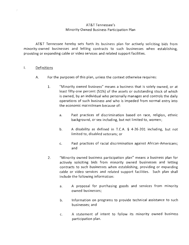### AT&T Tennessee's Minority Owned Business Participation Plan

AT&T Tennessee hereby sets forth its business plan for actively soliciting bids from minority-owned businesses and letting contracts to such businesses when establishing. providing or expanding cable or video services and related support facilities.

#### $\mathsf{L}$ Definitions

- A. For the purposes of this plan, unless the context otherwise requires:
	- $1<sub>1</sub>$ "Minority owned business" means a business that is solely owned, or at least fifty-one percent (51%) of the assets or outstanding stock of which is owned, by an individual who personally manages and controls the daily operations of such business and who is impeded from normal entry into the economic mainstream because of:
		- Past practices of discrimination based on race, religion, ethnic  $a<sub>r</sub>$ background, or sex including, but not limited to, women;
		- b. A disability as defined in T.C.A. § 4-26-201 including, but not limited to, disabled veterans; or
		- Past practices of racial discrimination against African-Americans; c. and
	- $2.$ "Minority owned business participation plan" means a business plan for actively soliciting bids from minority owned businesses and letting contracts to such businesses when establishing, providing or expanding cable or video services and related support facilities. Such plan shall include the following information:
		- A proposal for purchasing goods and services from minority a. owned businesses;
		- $b<sub>1</sub>$ Information on programs to provide technical assistance to such businesses: and
		- A statement of intent to follow its minority owned business c. participation plan.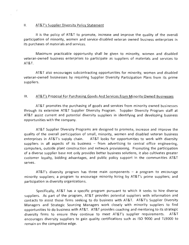#### $II.$ AT&T's Supplier Diversity Policy Statement

 $\mathcal{I}$ 

It is the policy of AT&T to promote, increase and improve the quality of the overall participation of minority, women and service-disabled veteran owned business enterprises in its purchases of materials and services.

Maximum practicable opportunity shall be given to minority, women and disabled veteran-owned business enterprises to participate as suppliers of materials and services to **AT&T.** 

AT&T also encourages subcontracting opportunities for minority, women and disabled veteran-owned businesses by requiring Supplier Diversity Participation Plans from its prime suppliers.

#### AT&T's Proposal For Purchasing Goods And Services From Minority Owned Businesses  $III.$

AT&T promotes the purchasing of goods and services from minority owned businesses through its extensive AT&T Supplier Diversity Program. Supplier Diversity Program staff at AT&T assist current and potential diversity suppliers in identifying and developing business opportunities with the company.

AT&T Supplier Diversity Programs are designed to promote, increase and improve the quality of the overall participation of small, minority, women and disabled veteran business enterprises in AT&T's supply chain. AT&T looks for opportunities to work with diversity suppliers in all aspects of its business  $-$  from advertising to central office engineering, computers, outside plant construction and network provisioning. Promoting the participation of a diverse supplier base not only provides better business solutions, it also cultivates greater customer loyalty, bidding advantages, and public policy support in the communities AT&T serves.

AT&T's diversity program has three main components  $-$  a program to encourage minority suppliers; a program to encourage minority hiring by AT&T's prime suppliers; and participation in diversity organizations.

Specifically, AT&T has a specific program pursuant to which it seeks to hire diverse suppliers. As part of the program, AT&T provides potential suppliers with information and contacts to assist those firms seeking to do business with AT&T. AT&T's Supplier Diversity Managers and Strategic Sourcing Managers work closely with minority suppliers to find opportunities to do business with AT&T. AT&T provides coaching and mentoring to its strategic diversity firms to ensure they continue to meet AT&T's supplier requirements. AT&T encourages diversity suppliers to gain quality certifications such as ISO 9000 and TL9000 to remain on the competitive edge.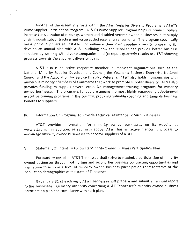Another of the essential efforts within the AT&T Supplier Diversity Programs is AT&T's Prime Supplier Participation Program. AT&T's Prime Supplier Program helps its prime suppliers increase the utilization of minority, women and disabled-veteran owned businesses in its supply chain through subcontracting and value added reseller arrangements. The program specifically helps prime suppliers (a) establish or enhance their own supplier diversity programs; (b) develop an annual plan with AT&T outlining how the supplier can provide better business solutions by working with diverse companies; and (c) report quarterly results to AT&T showing progress towards the supplier's diversity goals.

AT&T also is an active corporate member in important organizations such as the National Minority Supplier Development Council, the Women's Business Enterprise National Council and the Association for Service Disabled Veterans. AT&T also holds memberships with numerous minority Chambers of Commerce that work to promote supplier diversity. AT&T also provides funding to support several executive management training programs for minority owned businesses. The programs funded are among the most highly-regarded, graduate-level executive training programs in the country, providing valuable coaching and tangible business benefits to suppliers.

#### $IV.$ Information On Programs To Provide Technical Assistance To Such Businesses

AT&T provides information for minority owned businesses on its website at www.att.com. In addition, as set forth above, AT&T has an active mentoring process to encourage minority owned businesses to become suppliers of AT&T.

#### V. Statement Of Intent To Follow Its Minority Owned Business Participation Plan

Pursuant to this plan, AT&T Tennessee shall strive to maximize participation of minority owned businesses through both prime and second tier business contracting opportunities and shall strive to achieve a level of minority owned business participation representative of the population demographics of the state of Tennessee.

By January 31 of each year, AT&T Tennessee will prepare and submit an annual report to the Tennessee Regulatory Authority concerning AT&T Tennessee's minority owned business participation plan and compliance with such plan.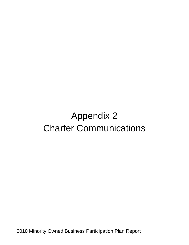## Appendix 2 Charter Communications

2010 Minority Owned Business Participation Plan Report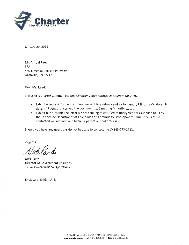

January 29, 2011

Mr. Arnold Reed **TRA** 460 James Robertson Parkway Nashville, TN 37243

Dear Mr. Reed,

Enclosed is Charter Communications Minority Vendor outreach program for 2010.

- Exhibit A represents the document we sent to existing vendors to identify Minority Vendors. To date, 463 vendors received the document, 116 met the Minority status.
- Exhibit B represents the letter we are sending to certified Minority Vendors supplied to us by the Tennessee Department of Economic and Community Development. Our hope is those contacted will respond and become part of our bid process.

Should you have any questions do not hesitate to contact me @ 865-273-2712.

Regards,

Violetown

**Nick Pavlis Director of Government Relations** Tennessee/Louisiana Operations

Enclosure: Exhibit A, B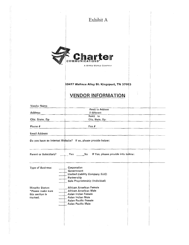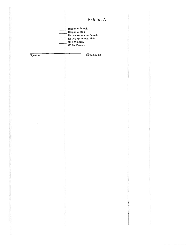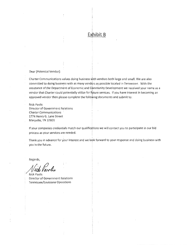## Exhibit B

Dear [Potential Vendor]:

Charter Communications values doing business with vendors both large and small. We are also committed to doing business with as many vendors as possible located in Tennessee. With the assistance of the Department of Economic and Community Development we received your name as a vendor that Charter could potentially utilize for future services. If you have interest in becoming an approved vendor then please complete the following documents and submit to:

**Nick Pavlis** Director of Government Relations **Charter Communications** 1774 Henry G. Lane Street Maryville, TN 37801

If your companies credentials match our qualifications we will contact you to participate in our bid process as your services are needed.

Thank you in advance for your interest and we look forward to your response and doing business with you in the future.

Regards,

**Nick Pavlis** Director of Government Relations Tennessee/Louisiana Operations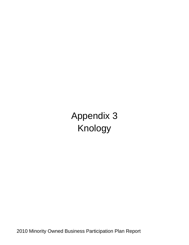Appendix 3 Knology

2010 Minority Owned Business Participation Plan Report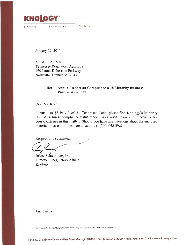

Phone Internet Cable

January 27, 2011

Mr. Arnold Reed Tennessee Regulatory Authority 460 James Robertson Parkway Nashville, Tennessee 37243

#### Re: **Annual Report on Compliance with Minority Business Participation Plan**

Dear Mr. Reed:

Pursuant to §7-59-313 of the Tennessee Code, please find Knology's Minority Owned Business compliance status report. As always, thank you in advance for your courtesies in this matter. Should you have any questions about the enclosed material, please don't hesitate to call me at (706) 645-3966.

Respectfully submitted,

Bruce Schoenover, Jr. Director - Regulatory Affairs Knology, Inc.

Enclosures

H:\Business Development\Telephone\Tennessee\Minority owned business plan\2011 Cover - Cable.doc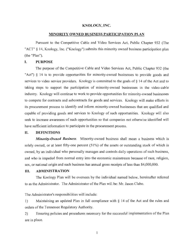### KNOLOGY, INC.

### MINORITY OWNED BUSINESS PARTICIPATION PLAN

Pursuant to the Competitive Cable and Video Services Act, Public Chapter 932 (The "ACT" § 14, Knology, Inc. ("Knology") submits this minority owned business participation plan (the "Plan").

#### I. **PURPOSE**

The purpose of the Competitive Cable and Video Services Act, Public Chapter 932 (the "Act") § 14 is to provide opportunities for minority-owned businesses to provide goods and services to video service providers. Knology is committed to the goals of § 14 of the Act and to taking steps to support the participation of minority-owned businesses in the video-cable industry. Knology will continue to work to provide opportunities for minority-owned businesses to compete for contracts and subcontracts for goods and services. Knology will make efforts in its procurement process to identify and inform minority-owned businesses that are qualified and capable of providing goods and services to Knology of such opportunities. Knology will also seek to increase awareness of such opportunities so that companies not otherwise identified will have sufficient information to participate in the procurement process.

#### II. **DEFINITIONS**

**Minority-Owned Business.** Minority-owned business shall mean a business which is solely owned, or at least fifty-one percent (51%) of the assets or outstanding stock of which is owned, by an individual who personally manages and controls daily operations of such business, and who is impeded from normal entry into the economic mainstream because of race, religion, sex, or national origin and such business has annual gross receipts of less than \$4,000,000.

#### III. **ADMINISTRATION**

The Knology Plan will be overseen by the individual named below, hereinafter referred to as the Administrator. The Administrator of the Plan will be: Mr. Jason Clabo.

### The Administrator's responsibilities will include:

 $1)$ Maintaining an updated Plan in full compliance with  $\S$  14 of the Act and the rules and orders of the Tennessee Regulatory Authority.

 $2)$ Ensuring policies and procedures necessary for the successful implementation of the Plan are in place.

 $\mathbf{1}$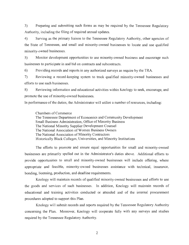$3)$ Preparing and submitting such forms as may be required by the Tennessee Regulatory Authority, including the filing of required annual updates.

 $4)$ Serving as the primary liaison to the Tennessee Regulatory Authority, other agencies of the State of Tennessee, and small and minority-owned businesses to locate and use qualified minority-owned businesses.

5) Monitor development opportunities to use minority-owned business and encourage such businesses to participate in and bid on contracts and subcontracts.

6) Providing records and reports in any authorized surveys as require by the TRA.

 $7)$ Reviewing a record-keeping system to track qualified minority-owned businesses and efforts to use such businesses.

8) Reviewing information and educational activities within Knology to seek, encourage, and promote the use of minority-owned businesses.

In performance of the duties, the Administrator will utilize a number of resources, including:

Chambers of Commerce The Tennessee Department of Economics and Community Development Small Business Administration, Office of Minority Business The National Minority Supplier Development Counsel The National Association of Women Business Owners The National Association of Minority Contractors Historically Black Colleges, Universities, and Minority Institutions

The efforts to promote and ensure equal opportunities for small and minority-owned businesses are primarily spelled out in the Administrator's duties above. Additional efforts to provide opportunities to small and minority-owned businesses will include offering, where appropriate and feasible, minority-owned businesses assistance with technical, insurance, bonding, licensing, production, and deadline requirements.

Knology will maintain records of qualified minority-owned businesses and efforts to use the goods and services of such businesses. In addition, Knology will maintain records of educational and training activities conducted or attended and of the internal procurement procedures adopted to support this Plan.

Knology will submit records and reports required by the Tennessee Regulatory Authority concerning the Plan. Moreover, Knology will cooperate fully with any surveys and studies required by the Tennessee Regulatory Authority.

 $\overline{2}$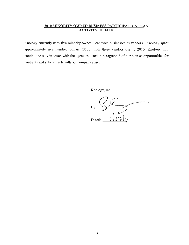### 2010 MINORITY OWNED BUSINESS PARTICIPATION PLAN **ACTIVITY UPDATE**

Knology currently uses five minority-owned Tennessee businesses as vendors. Knology spent approximately five hundred dollars (\$500) with these vendors during 2010. Knology will continue to stay in touch with the agencies listed in paragraph 8 of our plan as opportunities for contracts and subcontracts with our company arise.

Knology, Inc.

By: Dated: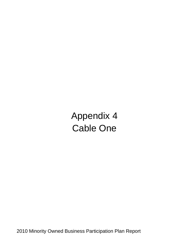Appendix 4 Cable One

2010 Minority Owned Business Participation Plan Report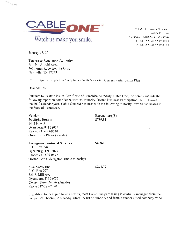

1314 N. THIRD STREET THIRD FLOOR PHOENIX, ARIZONA 85004 PH:602 · 364 · 6000 FX:602 · 364 · 6010

January 18, 2011

 $\sim$ 

Tennessee Regulatory Authority ATTN: Arnold Reed 460 James Robertson Parkway Nashville, TN 37243

Re: Annual Report on Compliance With Minority Business Participation Plan

Dear Mr. Reed:

Pursuant to its state-issued Certificate of Franchise Authority, Cable One, Inc hereby submits the following report on compliance with its Minority-Owned Business Participation Plan. During the 2010 calendar year, Cable One did business with the following minority-owned businesses in the State of Tennessee.

Vendor **Daylight Donuts** 1442 Hwy 51 Dyersburg, TN 38024 Phone: 731-285-9740 Owner: Rita Plewa (female) Expenditure  $(\$)$ \$789.82

 $\mathcal{O}(10^{11} \, \mathrm{Mpc})$  .

**Livingston Janitorial Services** P.O. Box 398 Dyersburg, TN 38024 Phone: 731-825-0877 Owner: Chris Livingston (male minority)

### SEZ SEW, Inc.

 $\mathbb{R}^{n \times n}$ 

### \$271.72

\$4,360

P.O. Box 707 325 S. Mill Ave. Dyersburg, TN 38025 Owner: Betty Dennis (female) Phone 737-285-2120

In addition to local purchasing efforts, most Cable One purchasing is centrally managed from the company's Phoenix, AZ headquarters. A list of minority and female vendors used company-wide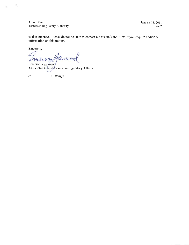Arnold Reed Tennessee Regulatory Authority January 18, 2011 Page 2

is also attached. Please do not hesitate to contact me at (602) 364-6195 if you require additional information on this matter.

Sincerely,

÷,

J,

anos meiron

Emerson Yearwood Associate General/Counsel--Regulatory Affairs

 $cc$ :

K. Wright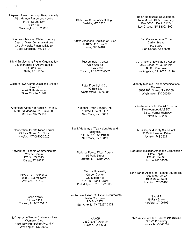Hispanic Assoc. on Corp. Responsibility Attn: Human Resources - Jobs 1444 | Street, NW Suite 850 Washington, DC 20005

Southeast Missouri State University Dept. of Mass Communications One University Plaza, MS2750 Cape Girardeau, MO 63701

Tribal Employment Rights Organization Joy McKenzie or Andy Patricio PO Box 837 Sells, AZ 85634

Western Iowa Communications College PO Box 5199 4647 State Avenue Sioux City, IA 51102

American Women in Radio & TV, Inc. 1760 Old Meadow Rd., Suite 500 McLean, VA 22102

Connecticut Puerto Rican Forum 95 Park Street, 3<sup>rd</sup>. Floor Hartford, CT 06106-2520

Network of Hispanic Communicators Yolette Garcia PO Box 222313 Dallas, TX 75222

> KRGV-TV - Rick Diaz 900 E. Expressway Weslaco, TX 78596

**Tucson YMCA** PO Box 1111 Tucson, AZ 85702-1111

Nat'l Assoc. of Negro Business & Pro. Women's Club 1806 New Hampshire Ave. NW Washington, DC 20009

State Fair Community College Sedalia, MO 65301

Native American Coalition of Tulsa 1740 W. 41<sup>st</sup>. Street<br>Tulsa, OK 74107

> Tucson Indian Center Alma Aquirre PO Box 2307 Tucson, AZ 85702-2307

Peter Froehlich & Co. PO Box 339 Weatherford, TX 76086

National Urban League, Inc. 120 Wall Street, Fl. 7 New York, NY 10005

Nat'l Adademy of Television Arts and **Sciences** 111 W. 57<sup>th</sup> St. #1020 New York, NY 10019

> National Puerto Rican Forum 95 Park Street Hartford, CT 06106-2520

Temple University Career Center 220 Mitten Hall 1913 N. Broad Street Philadelphia, PA 19122-6092

San Antonio Assoc. of Hispanic Journalists Javier Rodriquez PO Box 2171 San Antonio, TX 78297-2171

> **NAACP** 2160 N. 6<sup>th</sup>. Avenue Tucson, AZ 85705

Indian Resources Development New Mexico State University Box 30001, Dept. 3 IRD Las Cruces, NM 88003-8001

San Carlos Apache Tribe Carilyn Bread PO Box 0 San Carlos, AZ 85550

Cal Chicano News Media Assoc. USC School of Journalism 300 S. Grand Ave. Los Angeles, CA 90071-8110

Minority Media & Telecommunications Counsel 3636 16<sup>th</sup>. Street, NW B-366 Washington, DC 20010

Latin Americans for Social Economic Development (LASED) 4138 W. Vernor Highway Detroit, MI 48209

Mississippi Minority Skills Bank 3825 Ridgewood Drive Jackson, MS 39211

Nebraska Mexican/American Commission State Capital PO Box 94965 Lincoln, NE 68509

Rio Grande Assoc. of Hispanic Journalists San Juan Center 1363 Main Street Hartford, CT 06103

> SAMA 95 Park Street Hartford, CT 06106

Nat'l Assoc. of Black Journalists (NABJ) 525 W. Broadway Louisville, KY 40202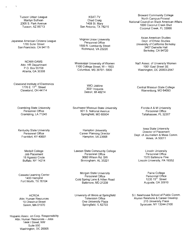Tucson Urban League Marilyn Sullivan 2305 S. Park Avenue Tucson, AZ 85713

Japanese American Citizens League 1765 Suter Street San Francisco. CA 94115

> NCNW-GAMS Attn: HR Department P.O. Box 55158 Atlanta, GA 30308

Cleveland Institute of Electronics 1776 E. 17<sup>th</sup>. Street Cleveland, OH 44114

**Grambling State University** Personnel Office Grambling, LA 71245

Kentucky State University Personnel Office Frankfort. KY 40601

> Medaill College Job Placement 18 Agassiz Circle **Buffalo, NY 14214**

Cassata Learning Center 1400 Hemphill Fort Worth, TX 76104

**HCROA** Attn: Human Resources 10 Chestnut Street Salem, MA 01970

Hispanic Assoc. on Corp. Responsibility Attn: Human Resources - Jobs 1444 | Street, NW Suite 850 Washington, DC 20005

**KSAT-TV** Chad Craig 1408 St. Mary San Antonio, TX 78215

Virginia Union University Personnel Office 1500 N. Lombardy Street Richmond, VA 23220

Mississippi University of Women 1100 College Street, W - 1603 Columbus, MS 39701-5800

> WICI Jobline 3031 Iroquois Detroit, MI 48214

Southwest Missouri State University 901 S. National Avenue Springfield, MO 65804

> **Hampton University** Career Planning Director Hampton, VA 23668

Lawson State Community College Personnel Office 3060 Wilson Rd. SW Birmingham, AL 35221

Morgan State University Personnel Office Cold Spring Lane & Hillen Road Baltimore, MD 21239

University of Illinois at Springfield Television Office One University Plaza Springfield, IL 62703

**Broward Community College** North Campus-Provost National Council on Black American Affairs 1000 Coconut Creek Blvd Coconut Creek, FL 33066

> Asian American Studies Dept. of Ethnic Studies University of California Berkeley 3407 Dwinelle Hall Berkeley, CA 94720

Nat'l Assoc. of University Women 1001 East Street SE Washington, DC 20003-2847

Central Missouri State College Warrenburg, MO 64093

Florida A & M University Personnel Office Tallahassee, FL 32307

Iowa State University Director of Placement Dept. of Journalism & Mass Comm. Ames, IA 50011

**Lincoln University** Personnel Office 1570 Baltimore Pike Lincoln University, PA 19352

> Paine College Personnel Office 1235 15<sup>th</sup>. Street Augusta, GA 30910

S.I. Newhouse School of Public Comm. Alumni Relations & Career Develop. 215 University Place Syracuse, NY 13244-2100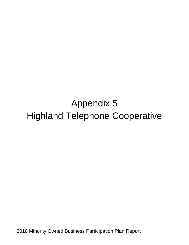## Appendix 5 Highland Telephone Cooperative

2010 Minority Owned Business Participation Plan Report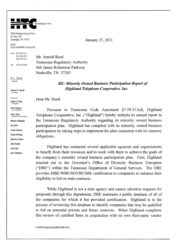

 $\sim 100$ 

 $\label{eq:1} \mathcal{L}_{\mathcal{A}}(\mathcal{A})=\mathcal{L}_{\mathcal{A}}(\mathcal{A})\mathcal{A}=\mathcal{L}_{\mathcal{A}}(\mathcal{A})\mathcal{A}=\mathcal{A}(\mathcal{A})\mathcal{A}$ 

7840 Morgan County Hwy. P.O. Box 119 Sunbright, TN 37872

ΕΜΔΙΙ HIGHLAND@HIGHLAND.NET

voice 423/628 2121 423/663 3939 606/376 5311

Fax 423/628 2409

F.L. Terry MANAGER

Ernest A. Petroff ATTORNEY

DIRECTORS James E. Terry PRESIDENT

JoAn Haynes VICE PRESIDENT

Clara Terry SECRETARY-TREASURER Mickey Bingham Jan Byrd Loma Denney David Freytag Shelva Jo Jones Sam Strunk John Tate **Jerry Williams** 

January 27, 2011

Mr. Arnold Reed **Tennessee Regulatory Authority** 460 James Robertson Parkway Nashville, TN 37243

### **RE: Minority Owned Business Participation Report of Highland Telephone Cooperative, Inc.**

Dear Mr. Reed:

Pursuant to Tennessee Code Annotated §7-59-313(d), Highland Telephone Cooperative, Inc. ("Highland") hereby submits its annual report to the Tennessee Regulatory Authority regarding its minority owned business participation plan. Highland has complied with its minority owned business participation by taking steps to implement the plan consistent with its statutory obligations.

Highland has contacted several applicable agencies and organizations to benefit from their resources and to work with them to achieve the goals of the company's minority owned business participation plan. First, Highland reached out to the Governor's Office of Diversity Business Enterprise ("DBE") within the Tennessee Department of General Services. The DBE provides MBE/WBE/SDVBE/SBE certification to companies to enhance their eligibility to bid on state contracts.

While Highland is not a state agency and cannot advertise requests for proposals through this department, DBE maintains a public database of all of the companies for which it has provided certification. Highland is in the process of reviewing this database to identify companies that may be qualified to bid on potential present and future contracts. When Highland completes this review of certified firms in conjunction with its own third-party vendor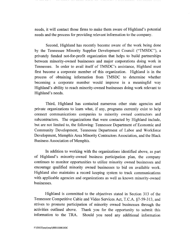needs, it will contact those firms to make them aware of Highland's potential needs and the process for providing relevant information to the company.

Second, Highland has recently become aware of the work being done by the Tennessee Minority Supplier Development Council ("TMSDC"), a privately funded not-for-profit organization that helps to build partnerships between minority-owned businesses and major corporations doing work in Tennessee. In order to avail itself of TMSDC's assistance, Highland must first become a corporate member of this organization. Highland is in the process of obtaining information from TMSDC to determine whether becoming a corporate member would improve in a meaningful way Highland's ability to reach minority-owned businesses doing work relevant to Highland's needs.

Third, Highland has contacted numerous other state agencies and private organizations to learn what, if any, programs currently exist to help connect communications companies to minority owned contractors and subcontractors. The organizations that were contacted by Highland include, but are not limited to, the following: Tennessee Department of Economic and Community Development, Tennessee Department of Labor and Workforce Development, Memphis Area Minority Contractors Association, and the Black Business Association of Memphis.

In addition to working with the organizations identified above, as part of Highland's minority-owned business participation plan, the company continues to monitor opportunities to utilize minority owned businesses and encourage qualified minority owned businesses to bid on available work. Highland also maintains a record keeping system to track communications with applicable agencies and organizations as well as known minority-owned businesses.

Highland is committed to the objectives stated in Section 313 of the Tennessee Competitive Cable and Video Services Act, T.C.A. §7-59-313, and strives to promote participation of minority owned businesses through the activities outlined above. Thank you for the opportunity to submit this information to the TRA. Should you need any additional information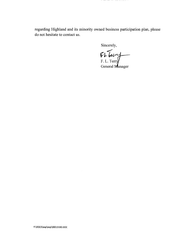regarding Highland and its minority owned business participation plan, please do not hesitate to contact us.

Sincerely,

Et Leurs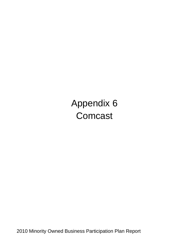Appendix 6 **Comcast** 

2010 Minority Owned Business Participation Plan Report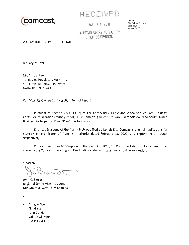

RECEIVED

JAN 3 1 2011

Comcast Cable 600 Galleria Parkway Suite 1100 Atlanta, GA 30339

TN REGULATORY AUTHORITY **ITTILITIES DIVISION** 

**VIA FACSIMILE & OVERNIGHT MAIL** 

January 28, 2011

Mr. Arnold Reed **Tennessee Regulatory Authority** 460 James Robertson Parkway Nashville, TN 37243

Re: Minority Owned Business Plan Annual Report

Pursuant to Section 7-59-313 (d) of The Competitive Cable and Video Services Act, Comcast Cable Communications Management, LLC ("Comcast") submits this annual report on its Minority Owned Business Participation Plan ("Plan") performance.

Enclosed is a copy of the Plan which was filed as Exhibit E to Comcast's original applications for state-issued certificates of franchise authority dated February 13, 2009, and September 14, 2009, respectively.

Comcast continues to comply with the Plan. For 2010, 14.2% of the total supplier expenditures made by the Comcast operating entities holding state certificates were to diverse vendors.

Sincerely,

John C. Barrett Regional Senior Vice President Mid-South & West Palm Regions

enc.

cc: Douglas Wells **Tim Gage** John Gauder Valerie Gillespie Russell Byrd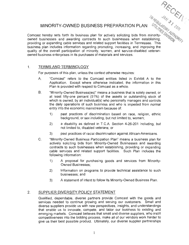## MINORITY-OWNED BUSINESS PREPARATION PLAN

TWREGUATORY AUTHORITY Comcast hereby sets forth its business plan for actively soliciting bids from minorityowned businesses and awarding contracts to such businesses when establishing, providing or expanding cable services and related support facilities in Tennessee. This business plan includes information regarding promoting, increasing, and improving the quality of the overall participation of minority, women, and service-disabled veteranowned business enterprises in its purchases of materials and services.

#### $1<sub>1</sub>$ **TERMS AND TERMINOLOGY**

For purposes of this plan, unless the context otherwise requires:

- "Comcast" refers to the Comcast entities listed in Exhibit A to the  $A_{1}$ Application. Except where otherwise indicated, the information in this Plan is provided with respect to Comcast as a whole.
- $B<sub>1</sub>$ "Minority-Owned Business(es)" means a business that is solely owned, or at least fifty-one percent (51%) of the assets or outstanding stock of which is owned, by an individual(s) who personally manages and controls the daily operations of such business and who is impeded from normal entry into the economic mainstream because of:
	- past practices of discrimination based on race, religion, ethnic  $1)$ background, or sex including, but not limited to, women;
	- $2)$ a disability as defined in T.C.A. Section 4-26-201 including, but not limited to, disabled veterans; or
	- $3)$ past practices of racial discrimination against African-Americans.
- C. "Minority-Owned Business Participation Plan" means a business plan for actively soliciting bids from Minority-Owned Businesses and awarding contracts to such businesses when establishing, providing or expanding cable services and related support facilities. Such Plan includes the following information:
	- $1)$ A proposal for purchasing goods and services from Minority-**Owned Businesses:**
	- $(2)$ Information on programs to provide technical assistance to such businesses: and
	- $3)$ A statement of intent to follow its Minority-Owned Business Plan.

#### $2.$ SUPPLIER DIVERSITY POLICY STATEMENT

Qualified, dependable, diverse partners provide Comcast with the goods and services needed to continue growing and serving our customers. Small and diverse suppliers provide us with new perspectives, insights, and understandings that enable us to innovate, compete, and tailor our business to existing and emerging markets. Comcast believes that small and diverse suppliers, who instill competitiveness into the bidding process, make all of our vendors work harder to give us their best possible product. Ultimately, our diverse supplier partnerships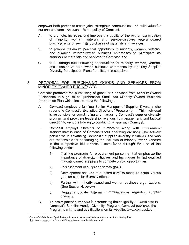empower both parties to create jobs, strengthen communities, and build value for our shareholders. As such, it is the policy of Comcast:

- to promote, increase, and improve the quality of the overall participation  $A_{1}$ of minority, women, veteran, and service-disabled veteran-owned business enterprises in its purchases of materials and services:
- **B**. to provide maximum practical opportunity to minority, women, veteran, and disabled veteran-owned business enterprises to participate as suppliers of materials and services to Comcast: and
- $C_{\cdot}$ to encourage subcontracting opportunities for minority, women, veteran, and disabled veteran-owned business enterprises by requiring Supplier Diversity Participation Plans from its prime suppliers.

#### 3 PROPOSAL FOR PURCHASING GOODS AND SERVICES FROM MINORITY-OWNED BUSINESSES

Comcast promotes the purchasing of goods and services from Minority-Owned Businesses through its comprehensive Small and Minority Owned Business Preparation Plan which incorporates the following:

- $\mathsf{A}$ Comcast employs a full-time Senior Manager of Supplier Diversity who reports to Comcast's Executive Director of Procurement. This individual is responsible for coordinating and managing Comcast's supplier diversity program and providing leadership, relationship management, and tactical direction to vendors looking to conduct business with Comcast.
- **B.** Comcast employs Directors of Purchasing along with procurement support staff in each of Comcast's four operating divisions who actively participate in advancing Comcast's supplier diversity initiatives and who are responsible for encouraging the inclusion of minority-owned vendors in the competitive bid process accomplished through the use of the following tactics:
	- $1)$ Training programs for procurement personnel that emphasize the importance of diversity initiatives and techniques to find qualified minority-owned suppliers to compete on bid opportunities.
	- $2)$ Establishment of supplier diversity goals.
	- $3)$ Development and use of a "score card" to measure actual versus goal for supplier diversity efforts.
	- $4)$ Partner with minority-owned and women business organizations. (See Section 4, below)
	- $5)$ Regularly update external communications regarding supplier diversity.
- $C_{\cdot}$ To assist potential vendors in determining their eligibility to participate in Comcast's Supplier Vendor Diversity Program, Comcast publishes the Program's criteria and qualifications on its website, www.comcast.com.<sup>1</sup>

<sup>&</sup>lt;sup>1</sup> Comcast's "Criteria and Qualifications document can be accessed on the web using the following link: http://www.comcast.com/corporate/about/diversity/suppliers/criteria.html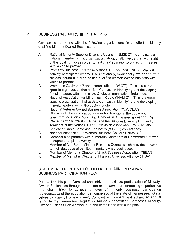#### $4.$ **BUSINESS PARTNERSHIP INITIATIVES**

Comcast is partnering with the following organizations, in an effort to identify qualified Minority-Owned Businesses.

- А. National Minority Supplier Diversity Council ("NMSDC"): Comcast is a national member of this organization. Additionally, we partner with eight of the local councils in order to find qualified minority-owned businesses with which to partner.
- **B.** Women's Business Enterprise National Council ("WBENC"): Comcast actively participates with WBENC nationally, Additionally, we partner with six local councils in order to find qualified women-owned business with which to partner.
- $C_{.}$ Women in Cable and Telecommunications ("WICT"): This is a cablespecific organization that assists Comcast in identifying and developing female leaders within the cable & telecommunications industries.
- D. National Association for Minorities in Cable ("NAMIC"): This is a cablespecific organization that assists Comcast in identifying and developing minority leaders within the cable industry.
- Ε. National Veteran Owned Business Association ("NaVOBA")
- Walter Kaitz Foundation: advocates for diversity in the cable and F. telecommunications industries. Comcast is an annual sponsor of the Walter Kaitz Fundraising Dinner and the Supplier Diversity Connection seminars at the National Cable Television Association ("NCTA") and Society of Cable Television Engineers ("SCTE") conferences.
- National Association of Women Business Owners ("NAWBO"). G.
- Η. Comcast also partners with numerous Chambers of Commerce that work to support supplier diversity.
- I. Member of Mid-South Minority Business Council which provides access to their database of certified minority-owned businesses.
- Member of Memphis Chapter of Black Business Association ("BBA") J.
- Κ. Member of Memphis Chapter of Hispanic Business Alliance ("HBA").

#### STATEMENT OF INTENT TO FOLLOW THE MINORITY-OWNED 5. **BUSINESS PARTICIPATION PLAN**

 $\overline{\phantom{a}}$ 

Pursuant to this plan, Comcast shall strive to maximize participation of Minority-Owned Businesses through both prime and second tier contracting opportunities and shall strive to achieve a level of minority business participation representative of the population demographics of the state of Tennessee. On or before January 31 of each year, Comcast will prepare and submit an annual report to the Tennessee Regulatory Authority concerning Comcast's Minority-Owned Business Participation Plan and compliance with such plan.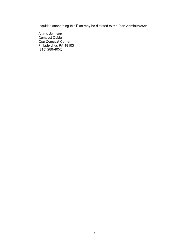Inquiries concerning this Plan may be directed to the Plan Administrator:

Ajamu Johnson<br>Comcast Cable One Comcast Center Philadelphia, PA 19103<br>(215) 286-4052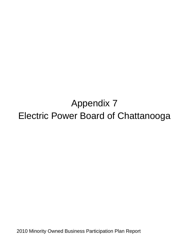## Appendix 7 Electric Power Board of Chattanooga

2010 Minority Owned Business Participation Plan Report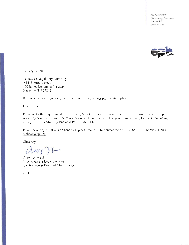P.O. Box 182255 Chattanooga, Tennessee 37422-7255 www.epb.net



January 12, 2011

Tennessee Regulatory Authority ATTN: Arnold Reed 460 James Robertson Parkway Nashville, TN 37243

RE: Annual report on compliance with minority business participation plan

Dear Mr. Reed:

Pursuant to the requirements of T.C.A. §7-59-313, please find enclosed Electric Power Board's report regarding compliance with the minority owned business plan. For your convenience, I am also enclosing a copy of EPB's Minority Business Participation Plan.

If you have any questions or concerns, please feel free to contact me at (423) 648-1391 or via e-mail at webbad@epb.net.

Sincerely,

 $\Lambda$ ar

Aaron D. Webb Vice President-Legal Services Electric Power Board of Chattanooga

enclosure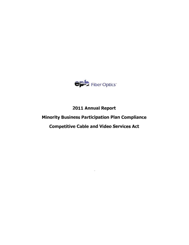

## 2011 Annual Report

## **Minority Business Participation Plan Compliance**

## **Competitive Cable and Video Services Act**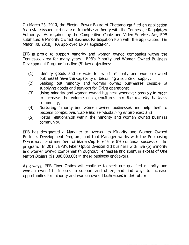On March 23, 2010, the Electric Power Board of Chattanooga filed an application for a state-issued certificate of franchise authority with the Tennessee Regulatory Authority. As required by the Competitive Cable and Video Services Act, EPB submitted a Minority Owned Business Participation Plan with the application. On March 30, 2010, TRA approved EPB's application.

EPB is proud to support minority and women owned companies within the Tennessee area for many years. EPB's Minority and Women Owned Business Development Program has five (5) key objectives:

- $(1)$ Identify goods and services for which minority and women owned businesses have the capability of becoming a source of supply;
- Seeking out minority and women owned businesses capable of  $(2)$ supplying goods and services for EPB's operations;
- $(3)$ Using minority and women owned business whenever possibly in order to increase the volume of expenditures into the minority business community:
- Nurturing minority and women owned businesses and help them to  $(4)$ become competitive, viable and self-sustaining enterprises; and
- Foster relationships within the minority and women owned business  $(5)$ community.

EPB has designated a Manager to oversee its Minority and Women Owned Business Development Program, and that Manager works with the Purchasing Department and members of leadership to ensure the continual success of the program. In 2010, EPB's Fiber Optics Division did business with five (5) minority and women owned companies throughout Tennessee and spent in excess of One Million Dollars (\$1,000,000.00) in these business endeavors.

As always, EPB Fiber Optics will continue to seek out qualified minority and women owned businesses to support and utilize, and find ways to increase opportunities for minority and women owned businesses in the future.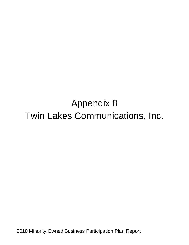# Appendix 8 Twin Lakes Communications, Inc.

2010 Minority Owned Business Participation Plan Report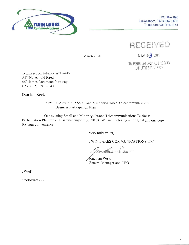

**RECEIVED** 

March 2, 2011

MAR 03 2011

TN REGULATORY AUTHORITY UTILITIES DIVISION

Tennessee Regulatory Authority ATTN: Arnold Reed 460 James Robertson Parkway Nashville, TN 37243

Dear Mr. Reed:

In re: TCA 65-5-212 Small and Minority-Owned Telecommunications Business Participation Plan

Our existing Small and Minority-Owned Telecommunications Business Participation Plan for 2011 is unchanged from 2010. We are enclosing an original and one copy for your convenience.

Very truly yours,

TWIN LAKES COMMUNICATIONS INC

Jonathan West, General Manager and CEO

JW/ef

Enclosures (2)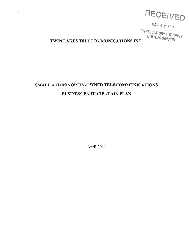

MAR 0 3 2011

TN REGULATORY AUTHORITY UTILITIES DIVISION

## TWIN LAKES TELECOMMUNICATIONS INC.

 $\Phi_{\rm{max}}$ 

 $\mathbf{r}$ 

## SMALL AND MINORITY-OWNED TELECOMMUNICATIONS **BUSINESS PARTICIPATION PLAN**

April 2011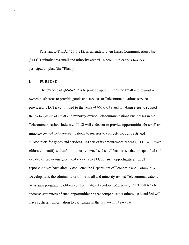Pursuant to T.C.A. §65-5-212, as amended, Twin Lakes Communications, Inc. ("TLCI) submits this small and minority-owned Telecommunications business participation plan (the "Plan").

#### I. **PURPOSE**

The purpose of §65-5-212 is to provide opportunities for small and minorityowned businesses to provide goods and services to Telecommunications service providers. TLCI is committed to the goals of §65-5-212 and to taking steps to support the participation of small and minority-owned Telecommunications businesses in the Telecommunications industry. TLCI will endeavor to provide opportunities for small and minority-owned Telecommunications businesses to compete for contracts and subcontracts for goods and services. As part of its procurement process, TLCI will make efforts to identify and inform minority-owned and small businesses that are qualified and capable of providing goods and services to TLCI of such opportunities. TLCI representatives have already contacted the Department of Economic and Community Development, the administrator of the small and minority-owned Telecommunications assistance program, to obtain a list of qualified vendors. Moreover, TLCI will seek to increase awareness of such opportunities so that companies not otherwise identified will have sufficient information to participate in the procurement process.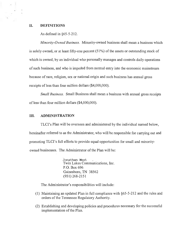#### II. **DEFINITIONS**

As defined in  $§65-5-212$ .

Minority-Owned Business. Minority-owned business shall mean a business which is solely owned, or at least fifty-one percent  $(51\%)$  of the assets or outstanding stock of which is owned, by an individual who personally manages and controls daily operations of such business, and who is impeded from normal entry into the economic mainstream because of race, religion, sex or national origin and such business has annual gross receipts of less than four million dollars (\$4,000,000).

*Small Business.* Small Business shall mean a business with annual gross receipts of less than four million dollars (\$4,000,000).

#### III. **ADMINISTRATION**

TLCI's Plan will be overseen and administered by the individual named below. hereinafter referred to as the Administrator, who will be responsible for carrying out and promoting TLCI's full efforts to provide equal opportunities for small and minorityowned businesses. The Administrator of the Plan will be:

> Jonathan West Twin Lakes Communications, Inc. P.O. Box 696 Gainesboro, TN 38562  $(931)$  268-2151

The Administrator's responsibilities will include:

- (1) Maintaining an updated Plan in full compliance with  $\S65-5-212$  and the rules and orders of the Tennessee Regulatory Authority.
- (2) Establishing and developing policies and procedures necessary for the successful implementation of the Plan.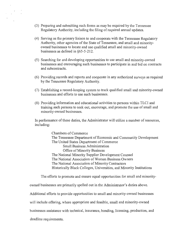- (3) Preparing and submitting such forms as may be required by the Tennessee Regulatory Authority, including the filing of required annual updates.
- (4) Serving as the primary liaison to and cooperate with the Tennessee Regulatory Authority, other agencies of the State of Tennessee, and small and minorityowned businesses to locate and use qualified small and minority-owned businesses as defined in §65-5-212.
- (5) Searching for and developing opportunities to use small and minority-owned businesses and encouraging such businesses to participate in and bid on contracts and subcontracts.
- (6) Providing records and reports and cooperate in any authorized surveys as required by the Tennessee Regulatory Authority.
- (7) Establishing a record-keeping system to track qualified small and minority-owned businesses and efforts to use such businesses.
- (8) Providing information and educational activities to persons within TLCI and training such persons to seek out, encourage, and promote the use of small and minority-owned businesses.

In performance of these duties, the Administrator will utilize a number of resources, including:

> Chambers of Commerce The Tennessee Department of Economic and Community Development The United States Department of Commerce **Small Business Administration** Office of Minority Business The National Minority Supplier Development Counsel The National Association of Women Business Owners The National Association of Minority Contractors Historically Black Colleges, Universities, and Minority Institutions

The efforts to promote and ensure equal opportunities for small and minority-

owned businesses are primarily spelled out in the Administrator's duties above.

Additional efforts to provide opportunities to small and minority-owned businesses

will include offering, where appropriate and feasible, small and minority-owned

businesses assistance with technical, insurance, bonding, licensing, production, and

deadline requirements.

 $\label{eq:2} \begin{array}{c} \mathcal{L} \\ \mathcal{L} \\ \mathcal{L} \end{array}$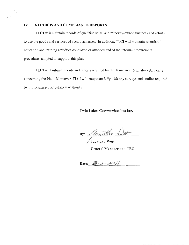#### IV. RECORDS AND COMPLIANCE REPORTS

 $\frac{d}{2} \frac{d}{2} \frac{d}{2}$ 

TLCI will maintain records of qualified small and minority-owned business and efforts to use the goods and services of such businesses. In addition, TLCI will maintain records of education and training activities conducted or attended and of the internal procurement procedures adopted to supports this plan.

TLCI will submit records and reports required by the Tennessee Regulatory Authority concerning the Plan. Moreover, TLCI will cooperate fully with any surveys and studies required by the Tennessee Regulatory Authority.

### **Twin Lakes Communications Inc.**

By: Jonatha

Jonathan West,

**General Manager and CEO** 

Date:  $3 - 2011$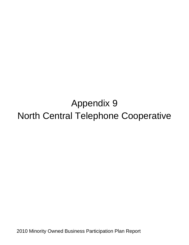# Appendix 9 North Central Telephone Cooperative

2010 Minority Owned Business Participation Plan Report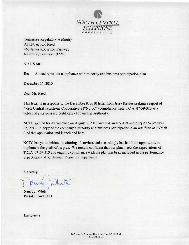

**Tennessee Regulatory Authority ATTN: Arnold Reed** 460 James Robertson Parkway Nashville, Tennessee 37243

Via US Mail

Re: Annual report on compliance with minority and business participation plan

December 16, 2010

Dear Mr. Reed:

This letter is in response to the December 9, 2010 letter from Jerry Kettles seeking a report of North Central Telephone Cooperative's ("NCTC") compliance with T.C.A. §7-59-313 as a holder of a state-issued certificate of Franchise Authority.

NCTC applied for its franchise on August 2, 2010 and was awarded its authority on September 23, 2010. A copy of the company's minority and business participation plan was filed as Exhibit C of that application and is included here.

NCTC has yet to initiate its offering of services and accordingly has had little opportunity to implement the goals of its plan. We remain confident that our plan meets the expectations of T.C.A. §7-59-313 and ongoing compliance with the plan has been included in the performance expectations of our Human Resources department.

Sincerely,

hete

Nancy J. White President and CEO

Enclosures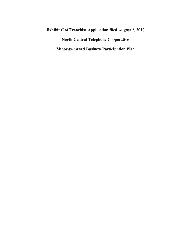## **Exhibit C of Franchise Application filed August 2, 2010 North Central Telephone Cooperative Minority-owned Business Participation Plan**

 $\langle \cdot \rangle$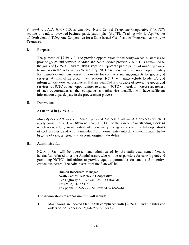Pursuant to T.C.A. §7-59-313, as amended, North Central Telephone Cooperative ("NCTC") submits this minority-owned business participation plan (the "Plan") along with its Application of North Central Telephone Cooperative for a State-Issued Certificate of Franchise Authority in Tennessee.

#### I. **Purpose**

The purpose of  $\S$ 7-59-313 is to provide opportunities for minority-owned businesses to provide goods and services to video and cable service providers. NCTC is committed to the goals of §7-59-313 and to taking steps to support the participation of minority-owned businesses in the video and cable industry. NCTC will endeavor to provide opportunities for minority-owned businesses to compete for contracts and subcontracts for goods and services. As part of its procurement process, NCTC will make efforts to identify and inform minority-owned businesses that are qualified and capable of providing goods and services to NCTC of such opportunities to do so. NCTC will seek to increase awareness of such opportunities so that companies not otherwise identified will have sufficient information to participate in the procurement process.

#### II. **Definitions**

### As defined in §7-59-313.

Minority-Owned Business: Minority-owned business shall mean a business which is solely owned, or at least fifty-one percent (51%) of the assets or outstanding stock of which is owned, by an individual who personally manages and controls daily operations of such business, and who is impeded from normal entry into the economic mainstream because of race, religion, sex, national origin, or disability.

#### III. Administration

NCTC's Plan will be overseen and administered by the individual named below, hereinafter referred to as the Administrator, who will be responsible for carrying out and promoting NCTC's full efforts to provide equal opportunities for small and minorityowned businesses. The Administrator of the Plan will be:

> Human Resources Manager North Central Telephone Cooperative 872 Highway 52 By Pass East, PO Box 70 Lafayette, TN 37083 Telephone: 615-666-2151; fax: 615-666-6244

The Administrator's responsibilities will include:

1. Maintaining an updated Plan in full compliance with §7-59-313 and the rules and orders of the Tennessee Regulatory Authority.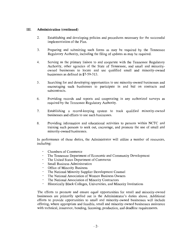#### III. **Administration (continued)**

- 2. Establishing and developing policies and procedures necessary for the successful implementation of the Plan.
- 3. Preparing and submitting such forms as may be required by the Tennessee Regulatory Authority, including the filing of updates as may be required.
- 4. Serving as the primary liaison to and cooperate with the Tennessee Regulatory Authority, other agencies of the State of Tennessee, and small and minorityowned businesses to locate and use qualified small and minority-owned businesses as defined in \$7-59-313.
- $5<sub>1</sub>$ Searching for and developing opportunities to use minority-owned businesses and encouraging such businesses to participate in and bid on contracts and subcontracts.
- 6. Providing records and reports and cooperating in any authorized surveys as required by the Tennessee Regulatory Authority.
- 7. Establishing a record-keeping system to track qualified minority-owned businesses and efforts to use such businesses.
- Providing information and educational activities to persons within NCTC and 8. training such persons to seek out, encourage, and promote the use of small and minority-owned businesses.

In performance of these duties, the Administrator will utilize a number of resources, including:

- **Chambers of Commerce**
- The Tennessee Department of Economic and Community Development  $\mathbf{r}$
- The United States Department of Commerce
- **Small Business Administration**
- Office of Minority Business
- $\mathbf{r}$ The National Minority Supplier Development Counsel
- The National Association of Women Business Owners
- The National Association of Minority Contractors
- $\blacksquare$ Historically Black Colleges, Universities, and Minority Institutions

The efforts to promote and ensure equal opportunities for small and minority-owned businesses are primarily spelled out in the Administrator's duties above. Additional efforts to provide opportunities to small and minority-owned businesses will include offering, where appropriate and feasible, small and minority-owned businesses assistance with technical, insurance, bonding, licensing, production, and deadline requirements.